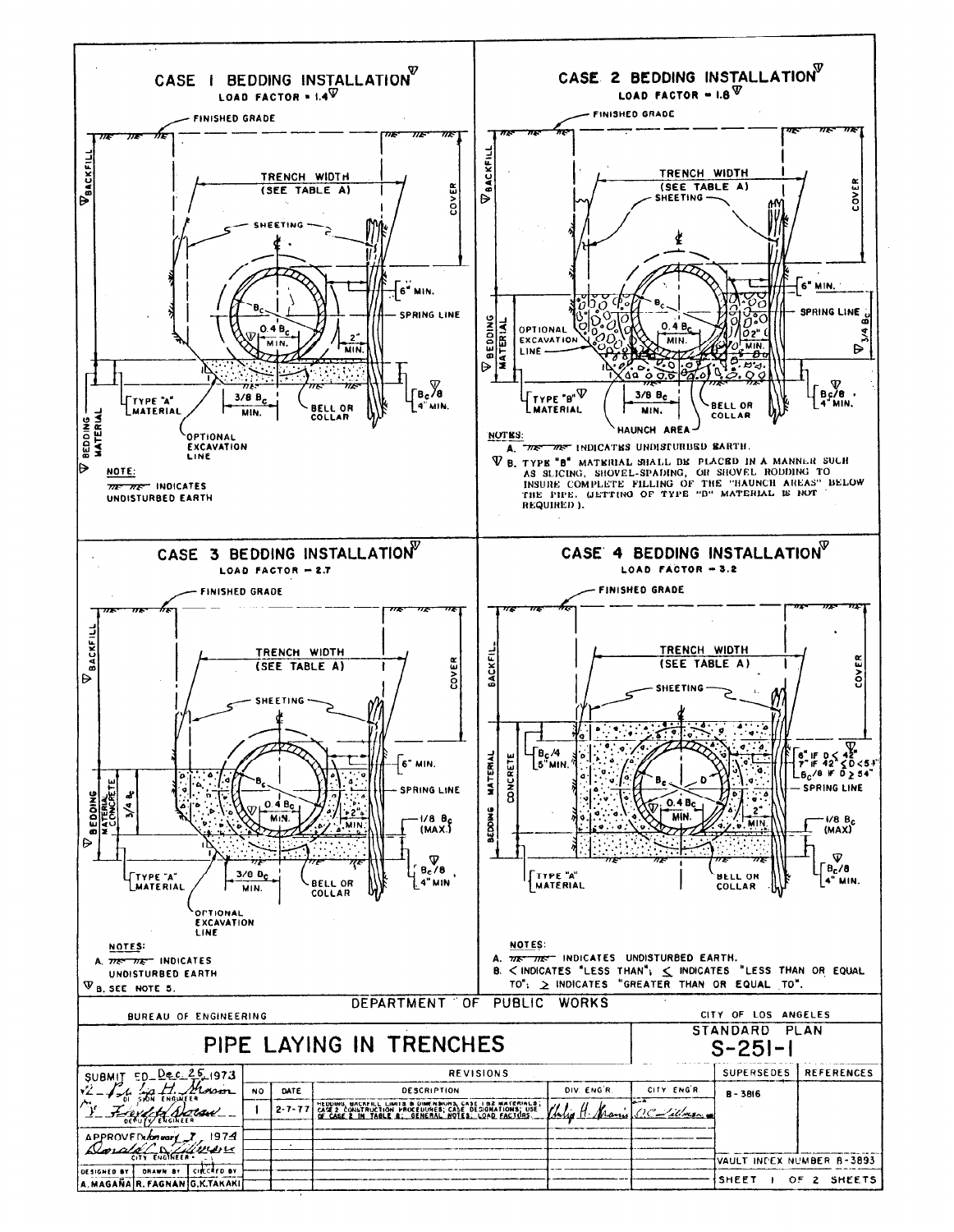